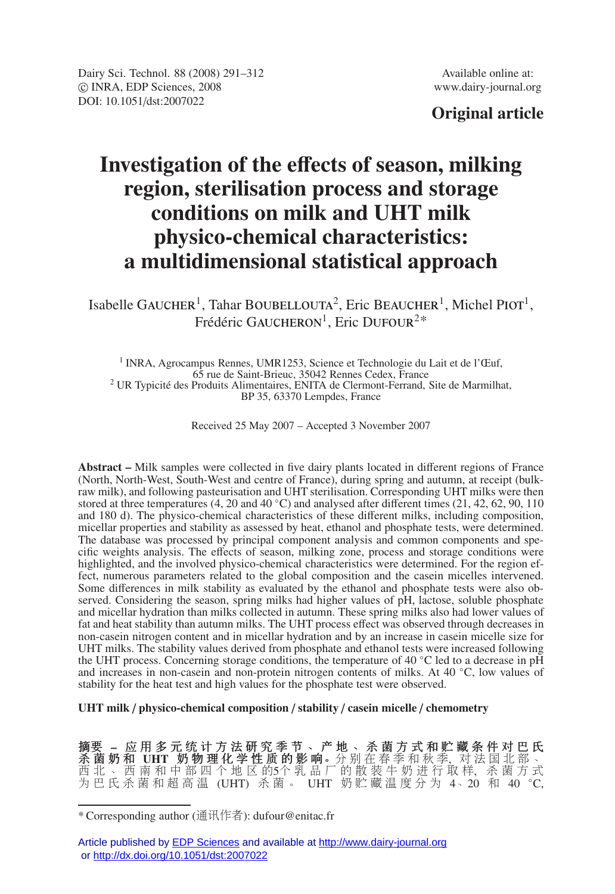Dairy Sci. Technol. 88 (2008) 291–312 -c INRA, EDP Sciences, 2008 www.dairy-journal.org DOI: 10.1051/dst:2007022

# **Original article**

# **Investigation of the e**ff**ects of season, milking region, sterilisation process and storage conditions on milk and UHT milk physico-chemical characteristics: a multidimensional statistical approach**

Isabelle GAUCHER<sup>1</sup>, Tahar BOUBELLOUTA<sup>2</sup>, Eric BEAUCHER<sup>1</sup>, Michel PIOT<sup>1</sup>, Frédéric GAUCHERON<sup>1</sup>, Eric DUFOUR<sup>2\*</sup>

<sup>1</sup> INRA, Agrocampus Rennes, UMR1253, Science et Technologie du Lait et de l'Œuf, 65 rue de Saint-Brieuc, 35042 Rennes Cedex, France <sup>2</sup> UR Typicité des Produits Alimentaires, ENITA de Clermont-Ferrand, Site de Marmilhat, BP 35, 63370 Lempdes, France

Received 25 May 2007 – Accepted 3 November 2007

**Abstract –** Milk samples were collected in five dairy plants located in different regions of France (North, North-West, South-West and centre of France), during spring and autumn, at receipt (bulkraw milk), and following pasteurisation and UHT sterilisation. Corresponding UHT milks were then stored at three temperatures (4, 20 and 40 °C) and analysed after different times (21, 42, 62, 90, 110 and 180 d). The physico-chemical characteristics of these different milks, including composition, micellar properties and stability as assessed by heat, ethanol and phosphate tests, were determined. The database was processed by principal component analysis and common components and specific weights analysis. The effects of season, milking zone, process and storage conditions were highlighted, and the involved physico-chemical characteristics were determined. For the region effect, numerous parameters related to the global composition and the casein micelles intervened. Some differences in milk stability as evaluated by the ethanol and phosphate tests were also observed. Considering the season, spring milks had higher values of pH, lactose, soluble phosphate and micellar hydration than milks collected in autumn. These spring milks also had lower values of fat and heat stability than autumn milks. The UHT process effect was observed through decreases in non-casein nitrogen content and in micellar hydration and by an increase in casein micelle size for UHT milks. The stability values derived from phosphate and ethanol tests were increased following the UHT process. Concerning storage conditions, the temperature of 40 ◦C led to a decrease in pH and increases in non-casein and non-protein nitrogen contents of milks. At 40 ◦C, low values of stability for the heat test and high values for the phosphate test were observed.

**UHT milk** / **physico-chemical composition** / **stability** / **casein micelle** / **chemometry**

摘要 - 应用多元统计方法研究季节、产地、杀菌方式和贮藏条件对巴氏 杀 菌 奶 和 **UHT** 奶 物 理 化 学 性 质 的 影 响。分 别 在 春 季 和 秋 季, 对 法 国 北 部 、 西 北 、 西 南 和 中 部 四 个 地 区 的5个 乳 品 厂 的 散 装 牛 奶 进 行 取 样, 杀 菌 方 式 为 巴 氏 杀 菌 和 超 高 温 (UHT) 杀 菌 。 UHT 奶 贮 藏 温 度 分 为 4、20 和 40 °C,

Article published by **EDP Sciences** and available at <http://www.dairy-journal.org> or<http://dx.doi.org/10.1051/dst:2007022>

<sup>\*</sup> Corresponding author (通讯作者): dufour@enitac.fr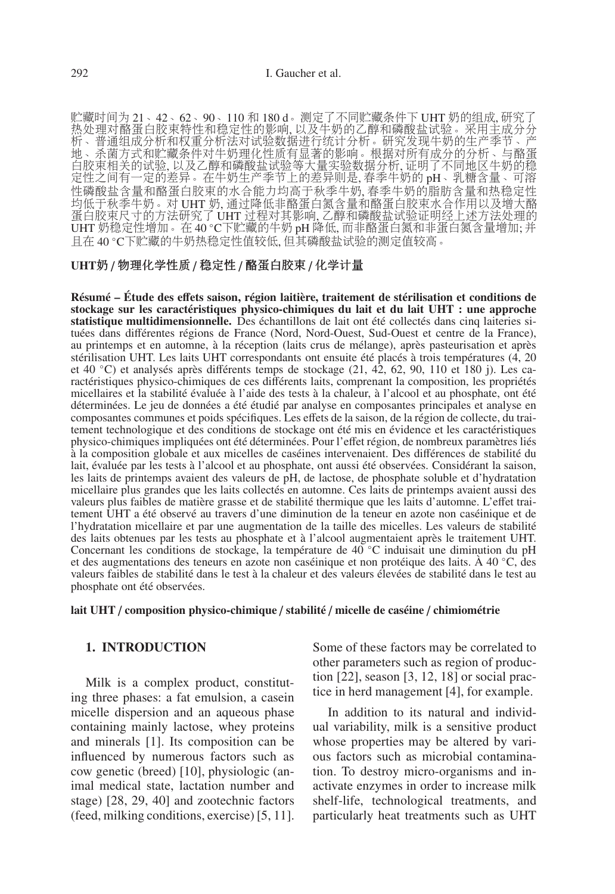贮藏时间为 21、42、62、90、110 和 180 d。测定了不同贮藏条件下 UHT 奶的组成, 研究了 热处理对酪蛋白胶束特性和稳定性的影响, 以及牛奶的乙醇和磷酸盐试验。采用主成分分 析、普通组成分析和权重分析法对试验数据进行统计分析。研究发现牛奶的生产季节、产 地、杀菌方式和贮藏条件对牛奶理化性质有显著的影响。根据对所有成分的分析、与酪蛋 白胶束相关的试验, 以及乙醇和磷酸盐试验等大量实验数据分析, 证明了不同地区牛奶的稳 定性之间有一定的差异。在牛奶生产季节上的差异则是, 春季牛奶的 pH、乳糖含量、可溶 性磷酸盐含量和酪蛋白胶束的水合能力均高于秋季牛奶, 春季牛奶的脂肪含量和热稳定性 均低于秋季牛奶。对 UHT 奶, 通过降低非酪蛋白氮含量和酪蛋白胶束水合作用以及增大酪 蛋白胶束尺寸的方法研究了 UHT 过程对其影响, 乙醇和磷酸盐试验证明经上述方法处理的 UHT奶稳定性增加。在40 ℃下贮藏的牛奶 pH 降低, 而非酪蛋白氮和非蛋白氮含量增加; 并 且在 40 ◦C下贮藏的牛奶热稳定性值较低, 但其磷酸盐试验的测定值较高。

#### **UHT**奶 / 物理化学性质 / 稳定性 / 酪蛋白胶束 / 化学计量

**Résumé – Étude des e**ff**ets saison, région laitière, traitement de stérilisation et conditions de stockage sur les caractéristiques physico-chimiques du lait et du lait UHT : une approche statistique multidimensionnelle.** Des échantillons de lait ont été collectés dans cinq laiteries situées dans différentes régions de France (Nord, Nord-Ouest, Sud-Ouest et centre de la France), au printemps et en automne, à la réception (laits crus de mélange), après pasteurisation et après stérilisation UHT. Les laits UHT correspondants ont ensuite été placés à trois températures (4, 20 et 40 ◦C) et analysés après différents temps de stockage (21, 42, 62, 90, 110 et 180 j). Les caractéristiques physico-chimiques de ces différents laits, comprenant la composition, les propriétés micellaires et la stabilité évaluée à l'aide des tests à la chaleur, à l'alcool et au phosphate, ont été déterminées. Le jeu de données a été étudié par analyse en composantes principales et analyse en composantes communes et poids spécifiques. Les effets de la saison, de la région de collecte, du traitement technologique et des conditions de stockage ont été mis en évidence et les caractéristiques physico-chimiques impliquées ont été déterminées. Pour l'effet région, de nombreux paramètres liés à la composition globale et aux micelles de caséines intervenaient. Des différences de stabilité du lait, évaluée par les tests à l'alcool et au phosphate, ont aussi été observées. Considérant la saison, les laits de printemps avaient des valeurs de pH, de lactose, de phosphate soluble et d'hydratation micellaire plus grandes que les laits collectés en automne. Ces laits de printemps avaient aussi des valeurs plus faibles de matière grasse et de stabilité thermique que les laits d'automne. L'effet traitement UHT a été observé au travers d'une diminution de la teneur en azote non caséinique et de l'hydratation micellaire et par une augmentation de la taille des micelles. Les valeurs de stabilité des laits obtenues par les tests au phosphate et à l'alcool augmentaient après le traitement UHT. Concernant les conditions de stockage, la température de 40 ◦C induisait une diminution du pH et des augmentations des teneurs en azote non caséinique et non protéique des laits. À 40 ◦C, des valeurs faibles de stabilité dans le test à la chaleur et des valeurs élevées de stabilité dans le test au phosphate ont été observées.

#### **lait UHT** / **composition physico-chimique** / **stabilité** / **micelle de caséine** / **chimiométrie**

#### **1. INTRODUCTION**

Milk is a complex product, constituting three phases: a fat emulsion, a casein micelle dispersion and an aqueous phase containing mainly lactose, whey proteins and minerals [1]. Its composition can be influenced by numerous factors such as cow genetic (breed) [10], physiologic (animal medical state, lactation number and stage) [28, 29, 40] and zootechnic factors (feed, milking conditions, exercise) [5, 11].

Some of these factors may be correlated to other parameters such as region of production [22], season [3, 12, 18] or social practice in herd management [4], for example.

In addition to its natural and individual variability, milk is a sensitive product whose properties may be altered by various factors such as microbial contamination. To destroy micro-organisms and inactivate enzymes in order to increase milk shelf-life, technological treatments, and particularly heat treatments such as UHT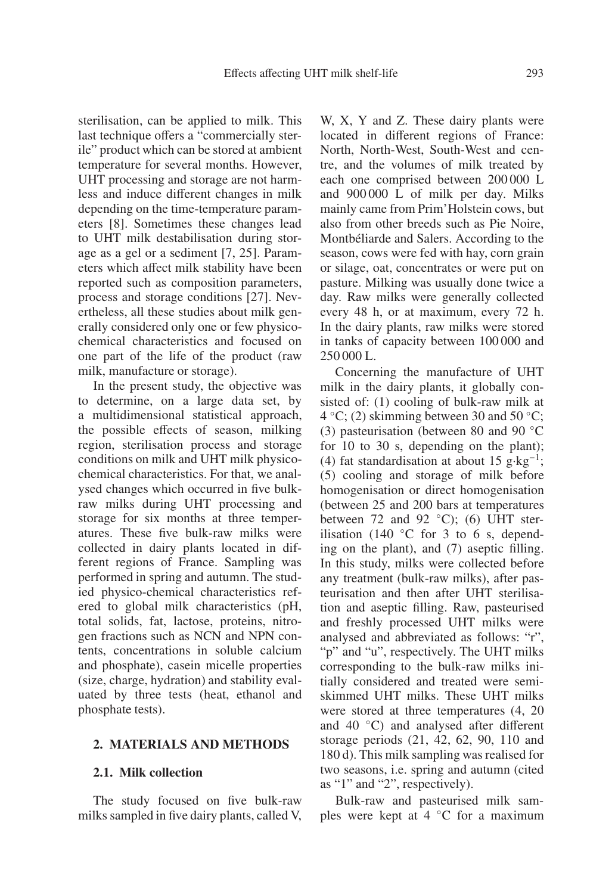sterilisation, can be applied to milk. This last technique offers a "commercially sterile" product which can be stored at ambient temperature for several months. However, UHT processing and storage are not harmless and induce different changes in milk depending on the time-temperature parameters [8]. Sometimes these changes lead to UHT milk destabilisation during storage as a gel or a sediment [7, 25]. Parameters which affect milk stability have been reported such as composition parameters, process and storage conditions [27]. Nevertheless, all these studies about milk generally considered only one or few physicochemical characteristics and focused on one part of the life of the product (raw milk, manufacture or storage).

In the present study, the objective was to determine, on a large data set, by a multidimensional statistical approach, the possible effects of season, milking region, sterilisation process and storage conditions on milk and UHT milk physicochemical characteristics. For that, we analysed changes which occurred in five bulkraw milks during UHT processing and storage for six months at three temperatures. These five bulk-raw milks were collected in dairy plants located in different regions of France. Sampling was performed in spring and autumn. The studied physico-chemical characteristics refered to global milk characteristics (pH, total solids, fat, lactose, proteins, nitrogen fractions such as NCN and NPN contents, concentrations in soluble calcium and phosphate), casein micelle properties (size, charge, hydration) and stability evaluated by three tests (heat, ethanol and phosphate tests).

#### **2. MATERIALS AND METHODS**

#### **2.1. Milk collection**

The study focused on five bulk-raw milks sampled in five dairy plants, called V, W, X, Y and Z. These dairy plants were located in different regions of France: North, North-West, South-West and centre, and the volumes of milk treated by each one comprised between 200 000 L and 900 000 L of milk per day. Milks mainly came from Prim'Holstein cows, but also from other breeds such as Pie Noire, Montbéliarde and Salers. According to the season, cows were fed with hay, corn grain or silage, oat, concentrates or were put on pasture. Milking was usually done twice a day. Raw milks were generally collected every 48 h, or at maximum, every 72 h. In the dairy plants, raw milks were stored in tanks of capacity between 100 000 and 250 000 L.

Concerning the manufacture of UHT milk in the dairy plants, it globally consisted of: (1) cooling of bulk-raw milk at  $4 °C$ ; (2) skimming between 30 and 50 °C; (3) pasteurisation (between 80 and 90 ◦C for 10 to 30 s, depending on the plant); (4) fat standardisation at about 15 g⋅kg<sup>-1</sup>; (5) cooling and storage of milk before homogenisation or direct homogenisation (between 25 and 200 bars at temperatures between 72 and 92  $°C$ ); (6) UHT sterilisation (140  $°C$  for 3 to 6 s, depending on the plant), and (7) aseptic filling. In this study, milks were collected before any treatment (bulk-raw milks), after pasteurisation and then after UHT sterilisation and aseptic filling. Raw, pasteurised and freshly processed UHT milks were analysed and abbreviated as follows: "r", "p" and "u", respectively. The UHT milks corresponding to the bulk-raw milks initially considered and treated were semiskimmed UHT milks. These UHT milks were stored at three temperatures (4, 20 and 40 ◦C) and analysed after different storage periods (21, 42, 62, 90, 110 and 180 d). This milk sampling was realised for two seasons, i.e. spring and autumn (cited as "1" and "2", respectively).

Bulk-raw and pasteurised milk samples were kept at  $4 \degree C$  for a maximum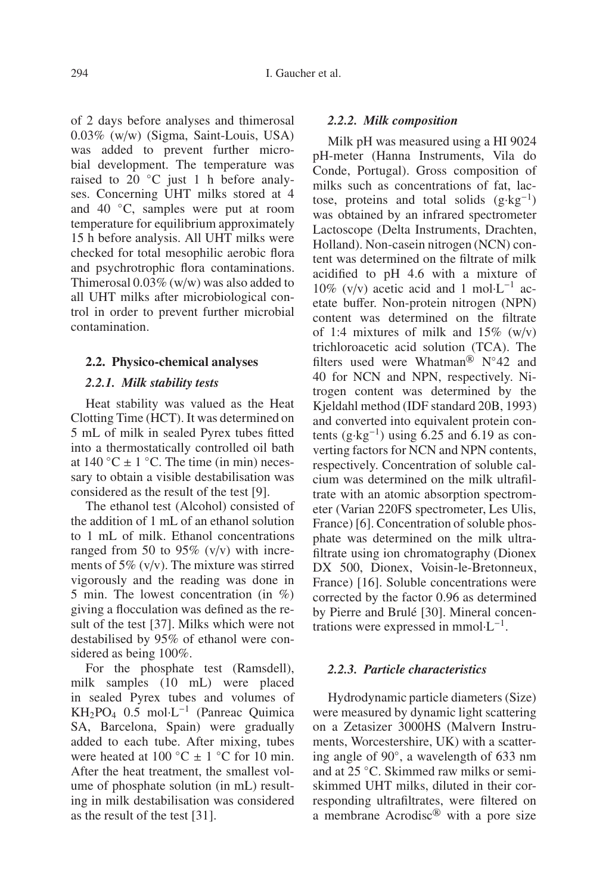of 2 days before analyses and thimerosal 0.03% (w/w) (Sigma, Saint-Louis, USA) was added to prevent further microbial development. The temperature was raised to 20 ◦C just 1 h before analyses. Concerning UHT milks stored at 4 and 40 ◦C, samples were put at room temperature for equilibrium approximately 15 h before analysis. All UHT milks were checked for total mesophilic aerobic flora and psychrotrophic flora contaminations. Thimerosal 0.03% (w/w) was also added to all UHT milks after microbiological control in order to prevent further microbial contamination.

#### **2.2. Physico-chemical analyses**

#### *2.2.1. Milk stability tests*

Heat stability was valued as the Heat Clotting Time (HCT). It was determined on 5 mL of milk in sealed Pyrex tubes fitted into a thermostatically controlled oil bath at  $140\text{ °C} \pm 1\text{ °C}$ . The time (in min) necessary to obtain a visible destabilisation was considered as the result of the test [9].

The ethanol test (Alcohol) consisted of the addition of 1 mL of an ethanol solution to 1 mL of milk. Ethanol concentrations ranged from 50 to 95%  $(v/v)$  with increments of 5% (v/v). The mixture was stirred vigorously and the reading was done in 5 min. The lowest concentration (in %) giving a flocculation was defined as the result of the test [37]. Milks which were not destabilised by 95% of ethanol were considered as being 100%.

For the phosphate test (Ramsdell), milk samples (10 mL) were placed in sealed Pyrex tubes and volumes of  $KH<sub>2</sub>PO<sub>4</sub> 0.5 mol·L<sup>-1</sup> (Panreac Quimica)$ SA, Barcelona, Spain) were gradually added to each tube. After mixing, tubes were heated at 100 °C  $\pm$  1 °C for 10 min. After the heat treatment, the smallest volume of phosphate solution (in mL) resulting in milk destabilisation was considered as the result of the test [31].

#### *2.2.2. Milk composition*

Milk pH was measured using a HI 9024 pH-meter (Hanna Instruments, Vila do Conde, Portugal). Gross composition of milks such as concentrations of fat, lactose, proteins and total solids  $(g \cdot kg^{-1})$ was obtained by an infrared spectrometer Lactoscope (Delta Instruments, Drachten, Holland). Non-casein nitrogen (NCN) content was determined on the filtrate of milk acidified to pH 4.6 with a mixture of  $10\%$  (v/v) acetic acid and 1 mol·L<sup>-1</sup> acetate buffer. Non-protein nitrogen (NPN) content was determined on the filtrate of 1:4 mixtures of milk and  $15\%$  (w/v) trichloroacetic acid solution (TCA). The filters used were Whatman<sup>®</sup> N°42 and 40 for NCN and NPN, respectively. Nitrogen content was determined by the Kjeldahl method (IDF standard 20B, 1993) and converted into equivalent protein contents (g·kg<sup>-1</sup>) using 6.25 and 6.19 as converting factors for NCN and NPN contents, respectively. Concentration of soluble calcium was determined on the milk ultrafiltrate with an atomic absorption spectrometer (Varian 220FS spectrometer, Les Ulis, France) [6]. Concentration of soluble phosphate was determined on the milk ultrafiltrate using ion chromatography (Dionex DX 500, Dionex, Voisin-le-Bretonneux, France) [16]. Soluble concentrations were corrected by the factor 0.96 as determined by Pierre and Brulé [30]. Mineral concentrations were expressed in mmol $\cdot L^{-1}$ .

#### *2.2.3. Particle characteristics*

Hydrodynamic particle diameters (Size) were measured by dynamic light scattering on a Zetasizer 3000HS (Malvern Instruments, Worcestershire, UK) with a scattering angle of 90◦, a wavelength of 633 nm and at 25 ◦C. Skimmed raw milks or semiskimmed UHT milks, diluted in their corresponding ultrafiltrates, were filtered on a membrane Acrodisc® with a pore size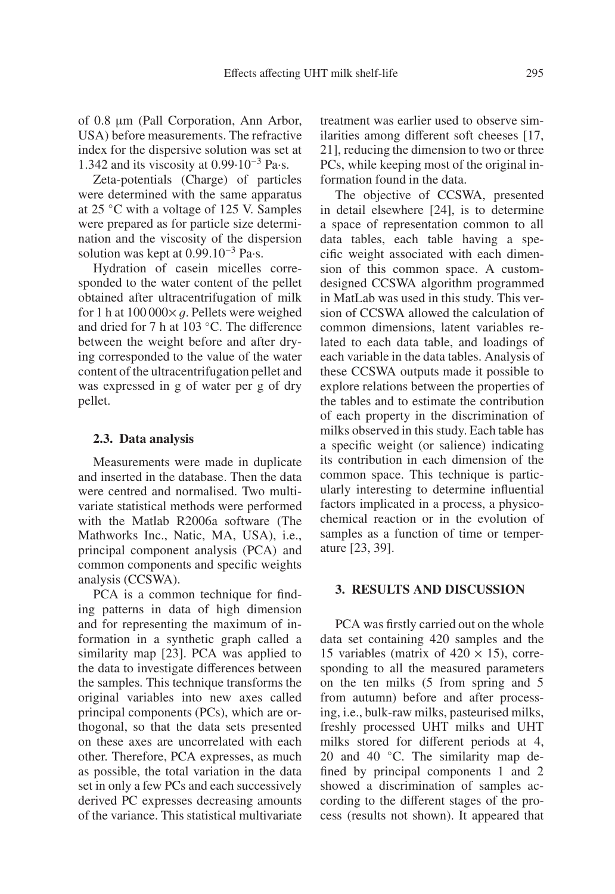of 0.8 µm (Pall Corporation, Ann Arbor, USA) before measurements. The refractive index for the dispersive solution was set at 1.342 and its viscosity at 0.99·10−<sup>3</sup> Pa·s.

Zeta-potentials (Charge) of particles were determined with the same apparatus at 25 ◦C with a voltage of 125 V. Samples were prepared as for particle size determination and the viscosity of the dispersion solution was kept at  $0.99.10^{-3}$  Pa·s.

Hydration of casein micelles corresponded to the water content of the pellet obtained after ultracentrifugation of milk for 1 h at  $100000 \times q$ . Pellets were weighed and dried for 7 h at 103 ◦C. The difference between the weight before and after drying corresponded to the value of the water content of the ultracentrifugation pellet and was expressed in g of water per g of dry pellet.

#### **2.3. Data analysis**

Measurements were made in duplicate and inserted in the database. Then the data were centred and normalised. Two multivariate statistical methods were performed with the Matlab R2006a software (The Mathworks Inc., Natic, MA, USA), i.e., principal component analysis (PCA) and common components and specific weights analysis (CCSWA).

PCA is a common technique for finding patterns in data of high dimension and for representing the maximum of information in a synthetic graph called a similarity map [23]. PCA was applied to the data to investigate differences between the samples. This technique transforms the original variables into new axes called principal components (PCs), which are orthogonal, so that the data sets presented on these axes are uncorrelated with each other. Therefore, PCA expresses, as much as possible, the total variation in the data set in only a few PCs and each successively derived PC expresses decreasing amounts of the variance. This statistical multivariate treatment was earlier used to observe similarities among different soft cheeses [17, 21], reducing the dimension to two or three PCs, while keeping most of the original information found in the data.

The objective of CCSWA, presented in detail elsewhere [24], is to determine a space of representation common to all data tables, each table having a specific weight associated with each dimension of this common space. A customdesigned CCSWA algorithm programmed in MatLab was used in this study. This version of CCSWA allowed the calculation of common dimensions, latent variables related to each data table, and loadings of each variable in the data tables. Analysis of these CCSWA outputs made it possible to explore relations between the properties of the tables and to estimate the contribution of each property in the discrimination of milks observed in this study. Each table has a specific weight (or salience) indicating its contribution in each dimension of the common space. This technique is particularly interesting to determine influential factors implicated in a process, a physicochemical reaction or in the evolution of samples as a function of time or temperature [23, 39].

#### **3. RESULTS AND DISCUSSION**

PCA was firstly carried out on the whole data set containing 420 samples and the 15 variables (matrix of  $420 \times 15$ ), corresponding to all the measured parameters on the ten milks (5 from spring and 5 from autumn) before and after processing, i.e., bulk-raw milks, pasteurised milks, freshly processed UHT milks and UHT milks stored for different periods at 4, 20 and 40 ℃. The similarity map defined by principal components 1 and 2 showed a discrimination of samples according to the different stages of the process (results not shown). It appeared that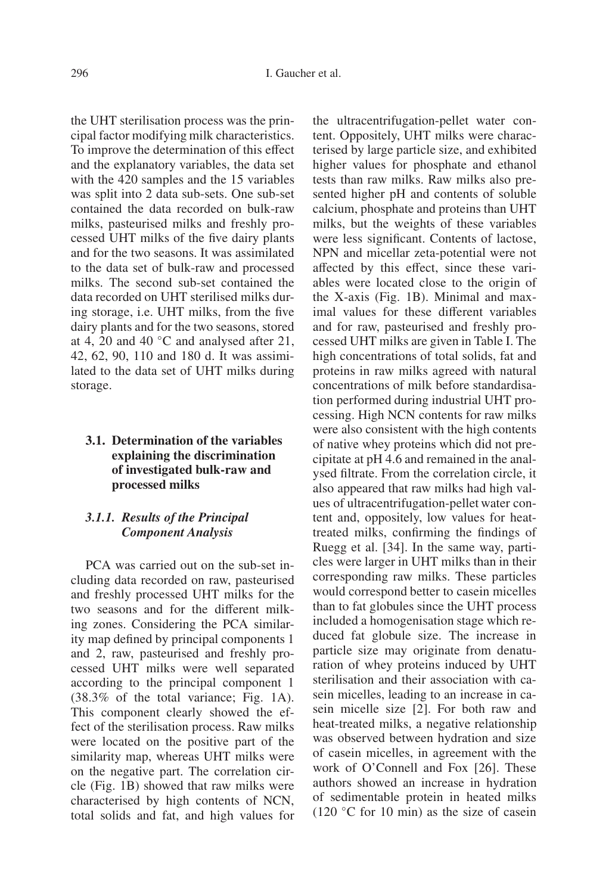the UHT sterilisation process was the principal factor modifying milk characteristics. To improve the determination of this effect and the explanatory variables, the data set with the 420 samples and the 15 variables was split into 2 data sub-sets. One sub-set contained the data recorded on bulk-raw milks, pasteurised milks and freshly processed UHT milks of the five dairy plants and for the two seasons. It was assimilated to the data set of bulk-raw and processed milks. The second sub-set contained the data recorded on UHT sterilised milks during storage, i.e. UHT milks, from the five dairy plants and for the two seasons, stored at 4, 20 and 40 ◦C and analysed after 21, 42, 62, 90, 110 and 180 d. It was assimilated to the data set of UHT milks during storage.

# **3.1. Determination of the variables explaining the discrimination of investigated bulk-raw and processed milks**

# *3.1.1. Results of the Principal Component Analysis*

PCA was carried out on the sub-set including data recorded on raw, pasteurised and freshly processed UHT milks for the two seasons and for the different milking zones. Considering the PCA similarity map defined by principal components 1 and 2, raw, pasteurised and freshly processed UHT milks were well separated according to the principal component 1 (38.3% of the total variance; Fig. 1A). This component clearly showed the effect of the sterilisation process. Raw milks were located on the positive part of the similarity map, whereas UHT milks were on the negative part. The correlation circle (Fig. 1B) showed that raw milks were characterised by high contents of NCN, total solids and fat, and high values for the ultracentrifugation-pellet water content. Oppositely, UHT milks were characterised by large particle size, and exhibited higher values for phosphate and ethanol tests than raw milks. Raw milks also presented higher pH and contents of soluble calcium, phosphate and proteins than UHT milks, but the weights of these variables were less significant. Contents of lactose, NPN and micellar zeta-potential were not affected by this effect, since these variables were located close to the origin of the X-axis (Fig. 1B). Minimal and maximal values for these different variables and for raw, pasteurised and freshly processed UHT milks are given in Table I. The high concentrations of total solids, fat and proteins in raw milks agreed with natural concentrations of milk before standardisation performed during industrial UHT processing. High NCN contents for raw milks were also consistent with the high contents of native whey proteins which did not precipitate at pH 4.6 and remained in the analysed filtrate. From the correlation circle, it also appeared that raw milks had high values of ultracentrifugation-pellet water content and, oppositely, low values for heattreated milks, confirming the findings of Ruegg et al. [34]. In the same way, particles were larger in UHT milks than in their corresponding raw milks. These particles would correspond better to casein micelles than to fat globules since the UHT process included a homogenisation stage which reduced fat globule size. The increase in particle size may originate from denaturation of whey proteins induced by UHT sterilisation and their association with casein micelles, leading to an increase in casein micelle size [2]. For both raw and heat-treated milks, a negative relationship was observed between hydration and size of casein micelles, in agreement with the work of O'Connell and Fox [26]. These authors showed an increase in hydration of sedimentable protein in heated milks (120  $\degree$ C for 10 min) as the size of casein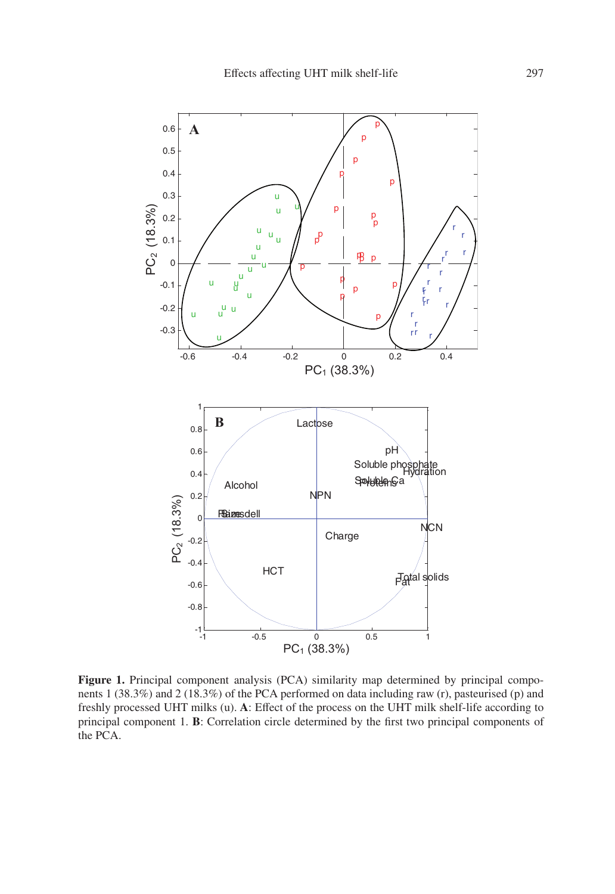

Figure 1. Principal component analysis (PCA) similarity map determined by principal components 1 (38.3%) and 2 (18.3%) of the PCA performed on data including raw (r), pasteurised (p) and freshly processed UHT milks (u). **A**: Effect of the process on the UHT milk shelf-life according to principal component 1. **B**: Correlation circle determined by the first two principal components of the PCA.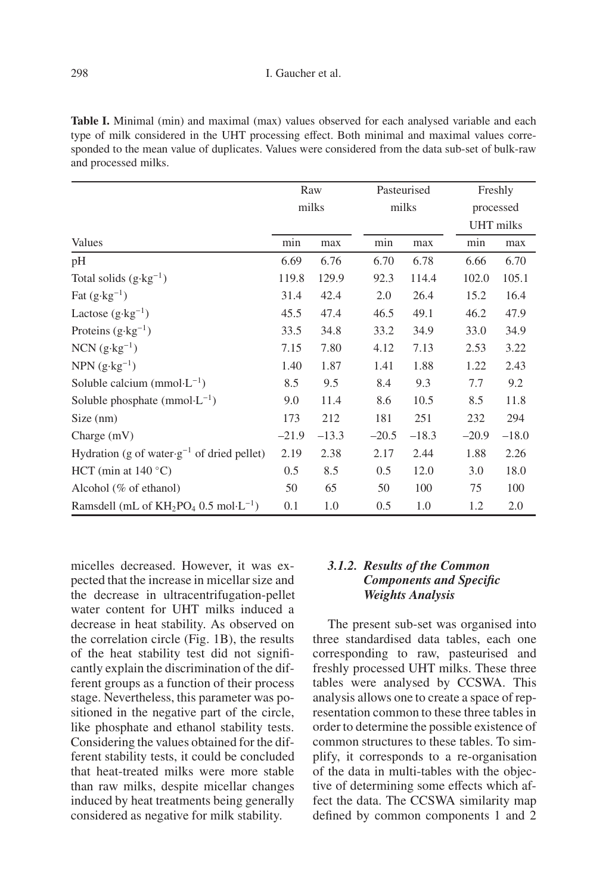**Table I.** Minimal (min) and maximal (max) values observed for each analysed variable and each type of milk considered in the UHT processing effect. Both minimal and maximal values corresponded to the mean value of duplicates. Values were considered from the data sub-set of bulk-raw and processed milks.

|                                                                |         | Raw     |         | Pasteurised |         | Freshly   |
|----------------------------------------------------------------|---------|---------|---------|-------------|---------|-----------|
|                                                                |         | milks   |         | milks       |         | processed |
|                                                                |         |         |         |             |         | UHT milks |
| Values                                                         | min     | max     | min     | max         | min     | max       |
| pH                                                             | 6.69    | 6.76    | 6.70    | 6.78        | 6.66    | 6.70      |
| Total solids $(g \cdot kg^{-1})$                               | 119.8   | 129.9   | 92.3    | 114.4       | 102.0   | 105.1     |
| Fat $(g \cdot kg^{-1})$                                        | 31.4    | 42.4    | 2.0     | 26.4        | 15.2    | 16.4      |
| Lactose $(g \cdot kg^{-1})$                                    | 45.5    | 47.4    | 46.5    | 49.1        | 46.2    | 47.9      |
| Proteins $(g \cdot kg^{-1})$                                   | 33.5    | 34.8    | 33.2    | 34.9        | 33.0    | 34.9      |
| $NCN$ (g·kg <sup>-1</sup> )                                    | 7.15    | 7.80    | 4.12    | 7.13        | 2.53    | 3.22      |
| NPN $(g \cdot kg^{-1})$                                        | 1.40    | 1.87    | 1.41    | 1.88        | 1.22    | 2.43      |
| Soluble calcium (mmol $\cdot L^{-1}$ )                         | 8.5     | 9.5     | 8.4     | 9.3         | 7.7     | 9.2       |
| Soluble phosphate (mmol $\cdot L^{-1}$ )                       | 9.0     | 11.4    | 8.6     | 10.5        | 8.5     | 11.8      |
| Size (nm)                                                      | 173     | 212     | 181     | 251         | 232     | 294       |
| Charge $(mV)$                                                  | $-21.9$ | $-13.3$ | $-20.5$ | $-18.3$     | $-20.9$ | $-18.0$   |
| Hydration (g of water $\cdot$ g <sup>-1</sup> of dried pellet) | 2.19    | 2.38    | 2.17    | 2.44        | 1.88    | 2.26      |
| HCT (min at $140^{\circ}$ C)                                   | 0.5     | 8.5     | 0.5     | 12.0        | 3.0     | 18.0      |
| Alcohol ( $%$ of ethanol)                                      | 50      | 65      | 50      | 100         | 75      | 100       |
| Ramsdell (mL of $KH_2PO_4$ 0.5 mol·L <sup>-1</sup> )           | 0.1     | 1.0     | 0.5     | 1.0         | 1.2     | 2.0       |

micelles decreased. However, it was expected that the increase in micellar size and the decrease in ultracentrifugation-pellet water content for UHT milks induced a decrease in heat stability. As observed on the correlation circle (Fig. 1B), the results of the heat stability test did not significantly explain the discrimination of the different groups as a function of their process stage. Nevertheless, this parameter was positioned in the negative part of the circle, like phosphate and ethanol stability tests. Considering the values obtained for the different stability tests, it could be concluded that heat-treated milks were more stable than raw milks, despite micellar changes induced by heat treatments being generally considered as negative for milk stability.

### *3.1.2. Results of the Common Components and Specific Weights Analysis*

The present sub-set was organised into three standardised data tables, each one corresponding to raw, pasteurised and freshly processed UHT milks. These three tables were analysed by CCSWA. This analysis allows one to create a space of representation common to these three tables in order to determine the possible existence of common structures to these tables. To simplify, it corresponds to a re-organisation of the data in multi-tables with the objective of determining some effects which affect the data. The CCSWA similarity map defined by common components 1 and 2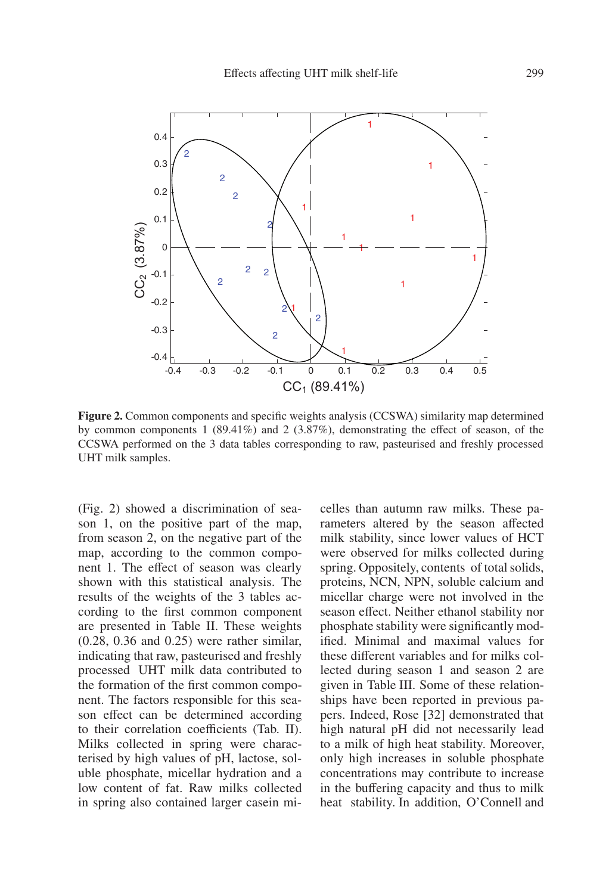

**Figure 2.** Common components and specific weights analysis (CCSWA) similarity map determined by common components 1 (89.41%) and 2 (3.87%), demonstrating the effect of season, of the CCSWA performed on the 3 data tables corresponding to raw, pasteurised and freshly processed UHT milk samples.

(Fig. 2) showed a discrimination of season 1, on the positive part of the map, from season 2, on the negative part of the map, according to the common component 1. The effect of season was clearly shown with this statistical analysis. The results of the weights of the 3 tables according to the first common component are presented in Table II. These weights (0.28, 0.36 and 0.25) were rather similar, indicating that raw, pasteurised and freshly processed UHT milk data contributed to the formation of the first common component. The factors responsible for this season effect can be determined according to their correlation coefficients (Tab. II). Milks collected in spring were characterised by high values of pH, lactose, soluble phosphate, micellar hydration and a low content of fat. Raw milks collected in spring also contained larger casein micelles than autumn raw milks. These parameters altered by the season affected milk stability, since lower values of HCT were observed for milks collected during spring. Oppositely, contents of total solids, proteins, NCN, NPN, soluble calcium and micellar charge were not involved in the season effect. Neither ethanol stability nor phosphate stability were significantly modified. Minimal and maximal values for these different variables and for milks collected during season 1 and season 2 are given in Table III. Some of these relationships have been reported in previous papers. Indeed, Rose [32] demonstrated that high natural pH did not necessarily lead to a milk of high heat stability. Moreover, only high increases in soluble phosphate concentrations may contribute to increase in the buffering capacity and thus to milk heat stability. In addition, O'Connell and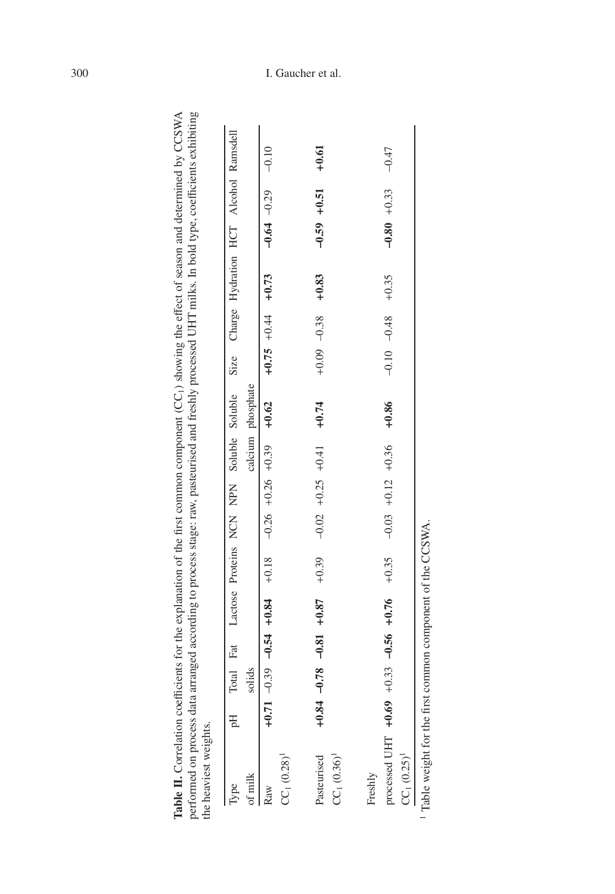| $+0.09 - 0.38$<br>calcium phosphate<br>processed UHT +0.69 +0.33 -0.56 +0.76 +0.35 -0.03 +0.12 +0.36 +0.86<br>$-0.70 + 0.00 + 0.00 + 0.00 + 0.00 + 0.00 + 0.00 + 0.00 + 0.00 + 0.00 + 0.00 + 0.00 + 0.00 + 0.00 + 0.00 + 0.00 + 0.00 + 0.00 + 0.00 + 0.00 + 0.00 + 0.00 + 0.00 + 0.00 + 0.00 + 0.00 + 0.00 + 0.00 + 0.00 + 0.00 + 0.00 + 0.00 + 0.00 + 0.00 + 0.00 + 0.00 + 0.0$<br>$+0.74$<br>$-0.02 + 0.25 + 0.41$<br>$-0.78$ $-0.81$ $+0.87$ $+0.39$<br>solids<br>$+0.84$<br>CC <sub>1</sub> (0.28) <sup>1</sup><br>CC <sub>1</sub> (0.36) <sup>1</sup><br>Pasteurised<br>Freshly<br>of milk<br>Raw | Size Charge Hydration HCT Alcohol Ramsdell<br>Total Fat Lactose Proteins NCN NPN Soluble Soluble |                           |
|--------------------------------------------------------------------------------------------------------------------------------------------------------------------------------------------------------------------------------------------------------------------------------------------------------------------------------------------------------------------------------------------------------------------------------------------------------------------------------------------------------------------------------------------------------------------------------------------------------|--------------------------------------------------------------------------------------------------|---------------------------|
|                                                                                                                                                                                                                                                                                                                                                                                                                                                                                                                                                                                                        |                                                                                                  |                           |
|                                                                                                                                                                                                                                                                                                                                                                                                                                                                                                                                                                                                        | $+0.75 + 0.44 + 0.73$                                                                            | $-0.10$<br>$-0.64 - 0.29$ |
|                                                                                                                                                                                                                                                                                                                                                                                                                                                                                                                                                                                                        |                                                                                                  |                           |
|                                                                                                                                                                                                                                                                                                                                                                                                                                                                                                                                                                                                        | $+0.83$                                                                                          | $+0.61$<br>$-0.59 + 0.51$ |
|                                                                                                                                                                                                                                                                                                                                                                                                                                                                                                                                                                                                        |                                                                                                  |                           |
|                                                                                                                                                                                                                                                                                                                                                                                                                                                                                                                                                                                                        |                                                                                                  |                           |
|                                                                                                                                                                                                                                                                                                                                                                                                                                                                                                                                                                                                        |                                                                                                  |                           |
|                                                                                                                                                                                                                                                                                                                                                                                                                                                                                                                                                                                                        | $-0.10$ $-0.48$ $+0.35$                                                                          | $-0.47$<br>$-0.80 + 0.33$ |
| CC <sub>1</sub> (0.25) <sup>1</sup>                                                                                                                                                                                                                                                                                                                                                                                                                                                                                                                                                                    |                                                                                                  |                           |

performed on process data arranged according to process stage: raw, pasteurised and freshly processed UHT milks. In bold type, coefficients exhibiting Table II. Correlation coefficients for the explanation of the first common component (CC<sub>1</sub>) showing the effect of season and determined by CCSWA ffect of season and determined by CCSWA fficients exhibiting performed on process data arranged according to process stage: raw, pasteurised and freshly processed UHT milks. In bold type, coe fficients for the explanation of the first common component  $(CC_1)$  showing the e **Table II.** Correlation coe

# 300 I. Gaucher et al.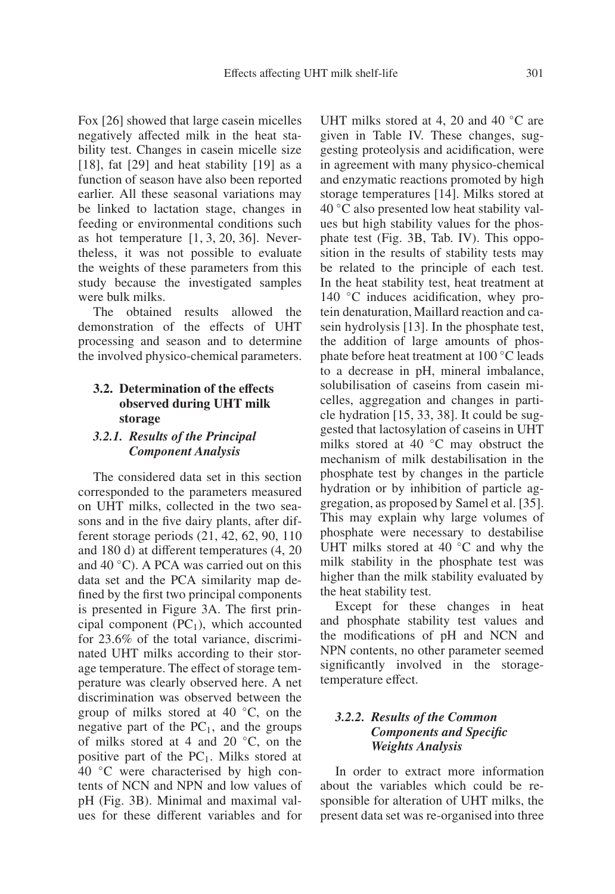Fox [26] showed that large casein micelles negatively affected milk in the heat stability test. Changes in casein micelle size [18], fat [29] and heat stability [19] as a function of season have also been reported earlier. All these seasonal variations may be linked to lactation stage, changes in feeding or environmental conditions such as hot temperature [1, 3, 20, 36]. Nevertheless, it was not possible to evaluate the weights of these parameters from this study because the investigated samples were bulk milks.

The obtained results allowed the demonstration of the effects of UHT processing and season and to determine the involved physico-chemical parameters.

# **3.2. Determination of the e**ff**ects observed during UHT milk storage**

#### *3.2.1. Results of the Principal Component Analysis*

The considered data set in this section corresponded to the parameters measured on UHT milks, collected in the two seasons and in the five dairy plants, after different storage periods (21, 42, 62, 90, 110 and 180 d) at different temperatures (4, 20 and  $40 °C$ ). A PCA was carried out on this data set and the PCA similarity map defined by the first two principal components is presented in Figure 3A. The first principal component  $(PC<sub>1</sub>)$ , which accounted for 23.6% of the total variance, discriminated UHT milks according to their storage temperature. The effect of storage temperature was clearly observed here. A net discrimination was observed between the group of milks stored at 40  $°C$ , on the negative part of the  $PC<sub>1</sub>$ , and the groups of milks stored at 4 and 20 ◦C, on the positive part of the  $PC_1$ . Milks stored at 40 ◦C were characterised by high contents of NCN and NPN and low values of pH (Fig. 3B). Minimal and maximal values for these different variables and for UHT milks stored at 4, 20 and 40  $°C$  are given in Table IV. These changes, suggesting proteolysis and acidification, were in agreement with many physico-chemical and enzymatic reactions promoted by high storage temperatures [14]. Milks stored at  $40^{\circ}$ C also presented low heat stability values but high stability values for the phosphate test (Fig. 3B, Tab. IV). This opposition in the results of stability tests may be related to the principle of each test. In the heat stability test, heat treatment at 140 °C induces acidification, whey protein denaturation, Maillard reaction and casein hydrolysis [13]. In the phosphate test, the addition of large amounts of phosphate before heat treatment at 100 ◦C leads to a decrease in pH, mineral imbalance, solubilisation of caseins from casein micelles, aggregation and changes in particle hydration [15, 33, 38]. It could be suggested that lactosylation of caseins in UHT milks stored at 40 ◦C may obstruct the mechanism of milk destabilisation in the phosphate test by changes in the particle hydration or by inhibition of particle aggregation, as proposed by Samel et al. [35]. This may explain why large volumes of phosphate were necessary to destabilise UHT milks stored at 40  $°C$  and why the milk stability in the phosphate test was higher than the milk stability evaluated by the heat stability test.

Except for these changes in heat and phosphate stability test values and the modifications of pH and NCN and NPN contents, no other parameter seemed significantly involved in the storagetemperature effect.

# *3.2.2. Results of the Common Components and Specific Weights Analysis*

In order to extract more information about the variables which could be responsible for alteration of UHT milks, the present data set was re-organised into three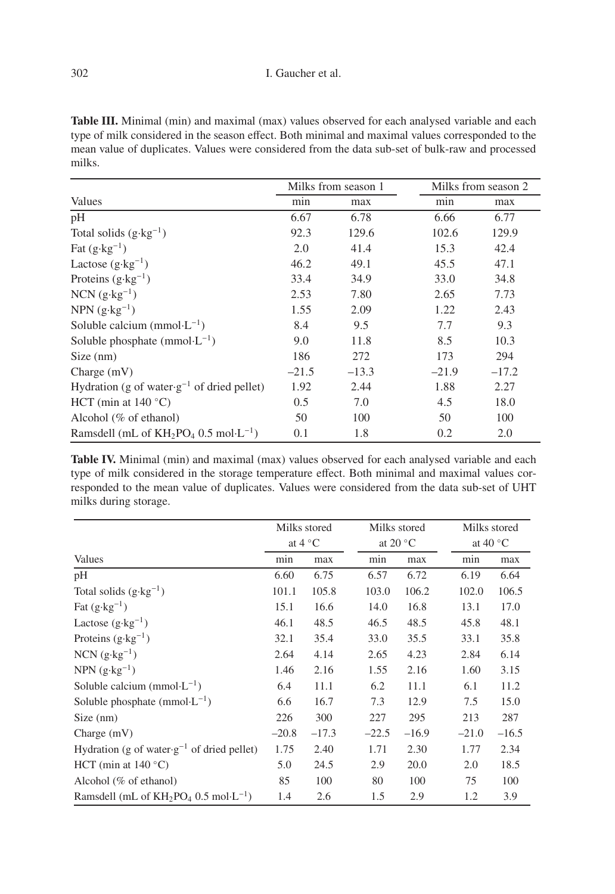**Table III.** Minimal (min) and maximal (max) values observed for each analysed variable and each type of milk considered in the season effect. Both minimal and maximal values corresponded to the mean value of duplicates. Values were considered from the data sub-set of bulk-raw and processed milks.

|                                                                |         | Milks from season 1 |         | Milks from season 2 |
|----------------------------------------------------------------|---------|---------------------|---------|---------------------|
| Values                                                         | min     | max                 | min     | max                 |
| pH                                                             | 6.67    | 6.78                | 6.66    | 6.77                |
| Total solids $(g \cdot kg^{-1})$                               | 92.3    | 129.6               | 102.6   | 129.9               |
| Fat $(g \cdot kg^{-1})$                                        | 2.0     | 41.4                | 15.3    | 42.4                |
| Lactose $(g \cdot kg^{-1})$                                    | 46.2    | 49.1                | 45.5    | 47.1                |
| Proteins $(g \cdot kg^{-1})$                                   | 33.4    | 34.9                | 33.0    | 34.8                |
| $NCN$ (g·kg <sup>-1</sup> )                                    | 2.53    | 7.80                | 2.65    | 7.73                |
| NPN $(g \cdot kg^{-1})$                                        | 1.55    | 2.09                | 1.22    | 2.43                |
| Soluble calcium (mmol $\cdot L^{-1}$ )                         | 8.4     | 9.5                 | 7.7     | 9.3                 |
| Soluble phosphate (mmol $\cdot L^{-1}$ )                       | 9.0     | 11.8                | 8.5     | 10.3                |
| Size (nm)                                                      | 186     | 272                 | 173     | 294                 |
| Charge $(mV)$                                                  | $-21.5$ | $-13.3$             | $-21.9$ | $-17.2$             |
| Hydration (g of water $\cdot$ g <sup>-1</sup> of dried pellet) | 1.92    | 2.44                | 1.88    | 2.27                |
| HCT (min at $140^{\circ}$ C)                                   | 0.5     | 7.0                 | 4.5     | 18.0                |
| Alcohol $(\%$ of ethanol)                                      | 50      | 100                 | 50      | 100                 |
| Ramsdell (mL of $KH_2PO_4$ 0.5 mol $\cdot L^{-1}$ )            | 0.1     | 1.8                 | 0.2     | 2.0                 |

**Table IV.** Minimal (min) and maximal (max) values observed for each analysed variable and each type of milk considered in the storage temperature effect. Both minimal and maximal values corresponded to the mean value of duplicates. Values were considered from the data sub-set of UHT milks during storage.

|                                                     |         | Milks stored     |         | Milks stored      |         | Milks stored      |
|-----------------------------------------------------|---------|------------------|---------|-------------------|---------|-------------------|
|                                                     |         | at $4^{\circ}$ C |         | at $20^{\circ}$ C |         | at 40 $\degree$ C |
| Values                                              | min     | max              | min     | max               | min     | max               |
| pH                                                  | 6.60    | 6.75             | 6.57    | 6.72              | 6.19    | 6.64              |
| Total solids $(g \cdot kg^{-1})$                    | 101.1   | 105.8            | 103.0   | 106.2             | 102.0   | 106.5             |
| Fat $(g \cdot kg^{-1})$                             | 15.1    | 16.6             | 14.0    | 16.8              | 13.1    | 17.0              |
| Lactose $(g \cdot kg^{-1})$                         | 46.1    | 48.5             | 46.5    | 48.5              | 45.8    | 48.1              |
| Proteins $(g \cdot kg^{-1})$                        | 32.1    | 35.4             | 33.0    | 35.5              | 33.1    | 35.8              |
| $NCN$ (g·kg <sup>-1</sup> )                         | 2.64    | 4.14             | 2.65    | 4.23              | 2.84    | 6.14              |
| $NPN$ (g·kg <sup>-1</sup> )                         | 1.46    | 2.16             | 1.55    | 2.16              | 1.60    | 3.15              |
| Soluble calcium (mmol $\cdot L^{-1}$ )              | 6.4     | 11.1             | 6.2     | 11.1              | 6.1     | 11.2              |
| Soluble phosphate (mmol $\cdot L^{-1}$ )            | 6.6     | 16.7             | 7.3     | 12.9              | 7.5     | 15.0              |
| Size (nm)                                           | 226     | 300              | 227     | 295               | 213     | 287               |
| Charge $(mV)$                                       | $-20.8$ | $-17.3$          | $-22.5$ | $-16.9$           | $-21.0$ | $-16.5$           |
| Hydration (g of water $g^{-1}$ of dried pellet)     | 1.75    | 2.40             | 1.71    | 2.30              | 1.77    | 2.34              |
| HCT (min at $140^{\circ}$ C)                        | 5.0     | 24.5             | 2.9     | 20.0              | 2.0     | 18.5              |
| Alcohol ( $%$ of ethanol)                           | 85      | 100              | 80      | 100               | 75      | 100               |
| Ramsdell (mL of $KH_2PO_4$ 0.5 mol $\cdot L^{-1}$ ) | 1.4     | 2.6              | 1.5     | 2.9               | 1.2     | 3.9               |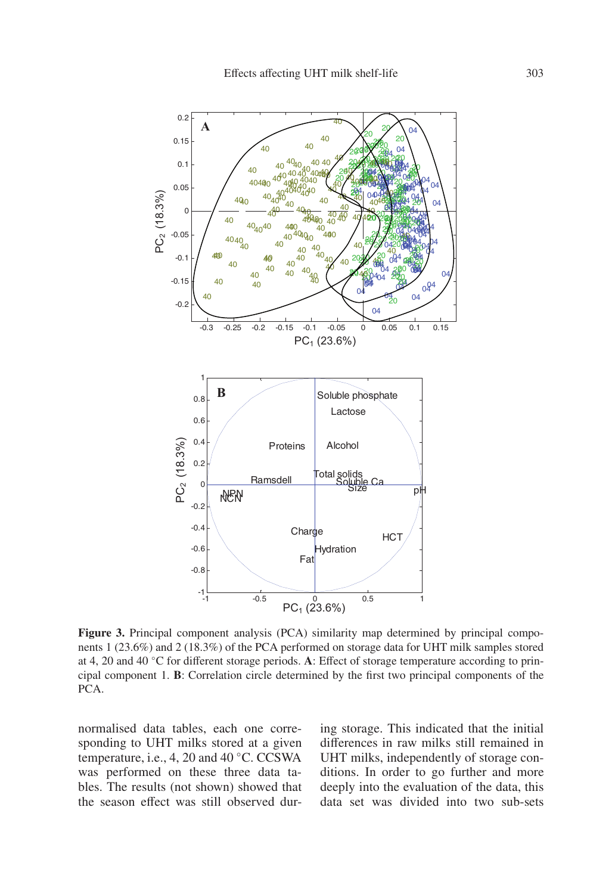

Figure 3. Principal component analysis (PCA) similarity map determined by principal components 1 (23.6%) and 2 (18.3%) of the PCA performed on storage data for UHT milk samples stored at 4, 20 and 40 ◦C for different storage periods. **A**: Effect of storage temperature according to principal component 1. **B**: Correlation circle determined by the first two principal components of the PCA.

normalised data tables, each one corresponding to UHT milks stored at a given temperature, i.e., 4, 20 and 40 ◦C. CCSWA was performed on these three data tables. The results (not shown) showed that the season effect was still observed during storage. This indicated that the initial differences in raw milks still remained in UHT milks, independently of storage conditions. In order to go further and more deeply into the evaluation of the data, this data set was divided into two sub-sets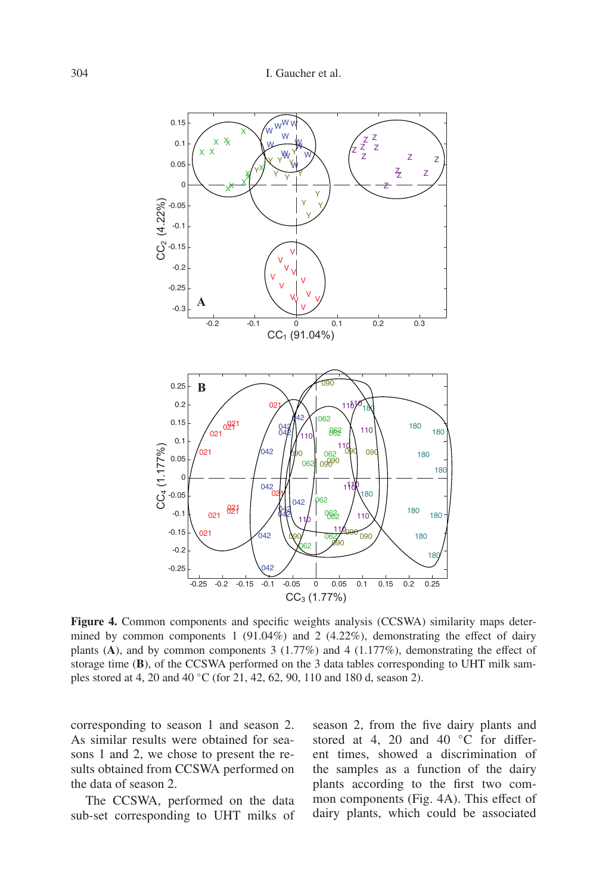

**Figure 4.** Common components and specific weights analysis (CCSWA) similarity maps determined by common components 1 (91.04%) and 2 (4.22%), demonstrating the effect of dairy plants (**A**), and by common components 3 (1.77%) and 4 (1.177%), demonstrating the effect of storage time (**B**), of the CCSWA performed on the 3 data tables corresponding to UHT milk samples stored at 4, 20 and 40 ◦C (for 21, 42, 62, 90, 110 and 180 d, season 2).

corresponding to season 1 and season 2. As similar results were obtained for seasons 1 and 2, we chose to present the results obtained from CCSWA performed on the data of season 2.

The CCSWA, performed on the data sub-set corresponding to UHT milks of season 2, from the five dairy plants and stored at 4, 20 and 40 °C for different times, showed a discrimination of the samples as a function of the dairy plants according to the first two common components (Fig. 4A). This effect of dairy plants, which could be associated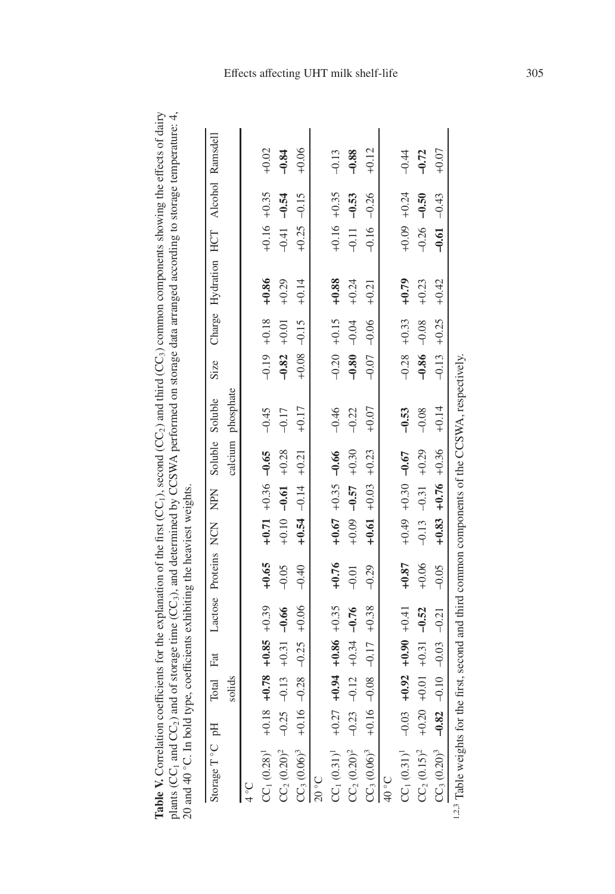Table V. Correlation coefficients for the explanation of the first (CC<sub>1</sub>), second (CC<sub>2</sub>) and third (CC<sub>3</sub>) common components showing the effects of dairy plants (CC<sub>1</sub> and CC<sub>2</sub>) and of storage time (CC<sub>3</sub>), and determined by CCSWA performed on storage data arranged according to storage temperature: 4, ffects of dairy plants (CC1 and CC2) and of storage time (CC3), and determined by CCSWA performed on storage data arranged according to storage temperature: 4, fficients for the explanation of the first (CC<sub>1</sub>), second (CC<sub>2</sub>) and third (CC<sub>3</sub>) common components showing the e 20 and 40 °C. In bold type, coefficients exhibiting the heaviest weights. fficients exhibiting the heaviest weights. 20 and 40 ◦C. In bold type, coe **Table V.** Correlation coe

| Storage T°C pH                                                                                     | Total   | Fat     |         | Lactose Proteins NCN |           | <b>NPN</b>     |         | Soluble Soluble   | <b>Size</b> |         | Charge Hydration HCT Alcohol Ramsdell |         |         |         |
|----------------------------------------------------------------------------------------------------|---------|---------|---------|----------------------|-----------|----------------|---------|-------------------|-------------|---------|---------------------------------------|---------|---------|---------|
|                                                                                                    | solids  |         |         |                      |           |                |         | calcium phosphate |             |         |                                       |         |         |         |
| $\frac{1}{4}$                                                                                      |         |         |         |                      |           |                |         |                   |             |         |                                       |         |         |         |
| $CC1 (0.28)1 +0.18$                                                                                | $+0.78$ | $+0.85$ | $+0.39$ | $+0.65$              | $+0.71$   | $+0.36$        | $-0.65$ | $-0.45$           | $-0.19$     | $+0.18$ | $+0.86$                               | $+0.16$ | $+0.35$ | $+0.02$ |
| $CC2 (0.20)2 -0.25$                                                                                | $-0.13$ | $+0.31$ | $-0.66$ | $-0.05$              | $+0.10$   | $-0.61$        | $+0.28$ | $-0.17$           | $-0.82$     | $+0.01$ | $+0.29$                               | $-0.41$ | $-0.54$ | $-0.84$ |
| $CC3 (0.06)3 +0.16$                                                                                | $-0.28$ | $-0.25$ | $+0.06$ | $-0.40$              | $+0.54$   | $-0.14$        | $+0.21$ | $+0.17$           | $+0.08$     | $-0.15$ | $+0.14$                               | $+0.25$ | $-0.15$ | $+0.06$ |
| $20^{\circ}$ C                                                                                     |         |         |         |                      |           |                |         |                   |             |         |                                       |         |         |         |
| $CC1 (0.31)1 +0.27$                                                                                | $+0.94$ | $+0.86$ | $+0.35$ | $+0.76$              | $+0.67$   | $+0.35$        | $-0.66$ | $-0.46$           | $-0.20$     | $+0.15$ | $+0.88$                               | $+0.16$ | $+0.35$ | $-0.13$ |
| $CC2 (0.20)2 -0.23$                                                                                | $-0.12$ | $+0.34$ | $-0.76$ | $-0.01$              | $+0.09$   | $-0.57$        | $+0.30$ | $-0.22$           | $-0.80$     | $-0.04$ | $+0.24$                               | $-0.11$ | $-0.53$ | $-0.88$ |
| $CC3 (0.06)3 +0.16$                                                                                | $-0.08$ | $-0.17$ | $+0.38$ | $-0.29$              | $+0.61$   | $+0.03$        | $+0.23$ | $+0.07$           | $-0.07$     | $-0.06$ | $+0.21$                               | $-0.16$ | $-0.26$ | $+0.12$ |
| $2\degree$ 0+                                                                                      |         |         |         |                      |           |                |         |                   |             |         |                                       |         |         |         |
| $CC1 (0.31)1 -0.03$                                                                                | $+0.92$ | $+0.90$ | $+0.41$ | $+0.87$              | $+0.49$ . | $+0.30 - 0.67$ |         | $-0.53$           | $-0.28$     | $+0.33$ | $+0.79$                               | $+0.09$ | $+0.24$ | $-0.44$ |
| $CC2 (0.15)2 +0.20$                                                                                | $+0.01$ | $+0.31$ | $-0.52$ | $+0.06$              | $-0.13$   | $-0.31$        | $+0.29$ | $-0.08$           | $-0.86$     | $-0.08$ | $+0.23$                               | $-0.26$ | $-0.50$ | $-0.72$ |
| $CC_3$ (0.20) <sup>3</sup> -0.82                                                                   | $-0.10$ | $-0.03$ | $-0.21$ | $-0.05$              | $+0.83$   | $+0.76$        | $+0.36$ | $+0.14$           | $-0.13$     | $+0.25$ | $+0.42$                               | $-0.61$ | $-0.43$ | $+0.07$ |
| $^{12.3}$ Table weights for the first second and third common components of the CCSWA respectively |         |         |         |                      |           |                |         |                   |             |         |                                       |         |         |         |

lable weights for the hrst, second and third common compenis of the UCSWA, respectively.  $12.3$  Table weights for the first, second and third common components of the CCSWA, respectively.

# Effects affecting UHT milk shelf-life 305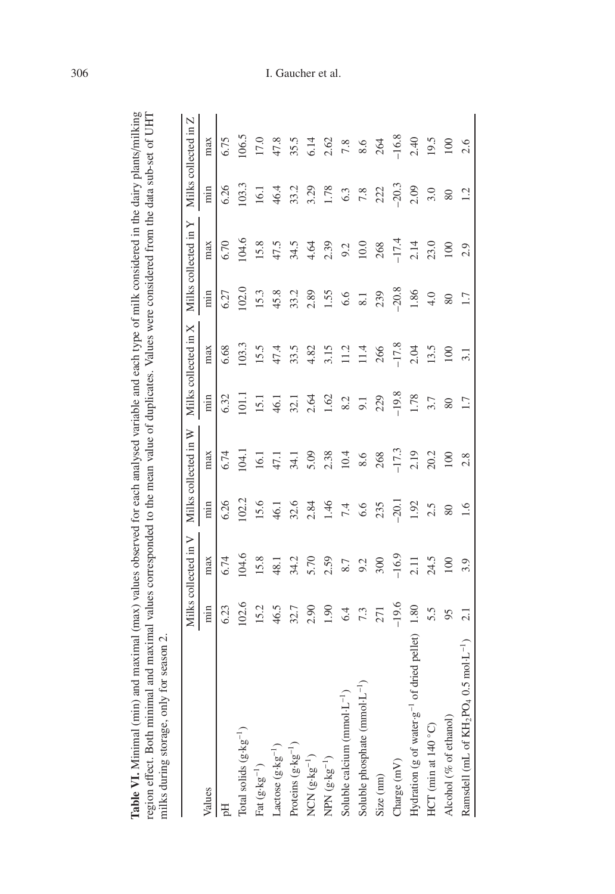| rin a<br>ı<br>in the dairy m        | E<br>onsidered from the data sub-set |             |
|-------------------------------------|--------------------------------------|-------------|
| - and each type of milk considered. | vere cu.<br>alues w.                 |             |
| variable and                        | o the mean value of duplicates. V    |             |
| erved for each analysed v           |                                      |             |
|                                     |                                      | į           |
|                                     | nu bu                                | i<br>C+C+   |
|                                     |                                      | j<br>.<br>ו |

|                                                                                     |                                                      | Milks collected in V |                            | Milks collected in W                                                         |                                                      | Milks collected in X                                             |        | Milks collected in Y |                                                                                                                          | Milks collected in Z                                                                                                                                                                                                                 |
|-------------------------------------------------------------------------------------|------------------------------------------------------|----------------------|----------------------------|------------------------------------------------------------------------------|------------------------------------------------------|------------------------------------------------------------------|--------|----------------------|--------------------------------------------------------------------------------------------------------------------------|--------------------------------------------------------------------------------------------------------------------------------------------------------------------------------------------------------------------------------------|
| Values                                                                              | min                                                  | max                  | min                        | max                                                                          | min                                                  | max                                                              | min    | max                  | min                                                                                                                      | max                                                                                                                                                                                                                                  |
| ЪH                                                                                  | 6.23                                                 | 6.74                 | 6.26                       | 6.74                                                                         | 6.32                                                 | 6.68                                                             | 6.27   | 6.70                 | 6.26                                                                                                                     | 6.75                                                                                                                                                                                                                                 |
| Total solids $(g \cdot kg^{-1})$                                                    | 102.6                                                | 104.6                | 102.2                      | <b>104</b>                                                                   | $\overline{0}$                                       | 103.3                                                            | 102.0  | 104.6                | 103.3                                                                                                                    | 106.5                                                                                                                                                                                                                                |
| Fat $(\mathbf{g}\!\cdot\!\mathbf{kg}^{-1})$                                         |                                                      |                      | $15.6$<br>46.1             | 16.1                                                                         | 15.1                                                 |                                                                  |        |                      |                                                                                                                          |                                                                                                                                                                                                                                      |
| Lactose $(g \cdot kg^{-1})$                                                         |                                                      |                      |                            |                                                                              |                                                      | $15.5$<br>47.4                                                   |        |                      |                                                                                                                          |                                                                                                                                                                                                                                      |
| Proteins $(g \cdot kg^{-1})$                                                        |                                                      |                      |                            |                                                                              |                                                      |                                                                  |        |                      |                                                                                                                          |                                                                                                                                                                                                                                      |
| $NCN (g \cdot kg^{-1})$                                                             | 15.2<br>46.5<br>32.7<br>1.90<br>1.9.6<br>7.7<br>19.6 |                      | 32.6<br>2.84<br>1.46       |                                                                              | $32.1$<br>$1.62$<br>$1.3$<br>$3.1$<br>$3.2$<br>$3.1$ |                                                                  |        |                      | $\begin{array}{cccc}\n16.1 & 46.4 & 33.2 & 8 \\ 46.4 & 33.2 & 1.78 \\ 1.78 & 1.3 & 2.22 \\  & & 6.3 & 2.23\n\end{array}$ |                                                                                                                                                                                                                                      |
| $\text{NPN}\,(\text{g}\!\cdot\!\text{k}\text{g}^{-1})$                              |                                                      |                      |                            |                                                                              |                                                      |                                                                  |        |                      |                                                                                                                          |                                                                                                                                                                                                                                      |
| Soluble calcium (mmol·L <sup>-1</sup> )                                             |                                                      |                      |                            |                                                                              |                                                      |                                                                  |        |                      |                                                                                                                          |                                                                                                                                                                                                                                      |
| Soluble phosphate ( $mmod \cdot L^{-1}$ )                                           |                                                      |                      |                            |                                                                              |                                                      |                                                                  |        |                      |                                                                                                                          |                                                                                                                                                                                                                                      |
| Size (nm)                                                                           |                                                      |                      |                            |                                                                              |                                                      |                                                                  |        |                      |                                                                                                                          |                                                                                                                                                                                                                                      |
| Charge (mV)                                                                         |                                                      |                      |                            |                                                                              |                                                      |                                                                  |        |                      |                                                                                                                          |                                                                                                                                                                                                                                      |
| of dried pellet)<br>Hydration (g of water $g^{-1}$                                  | $1.80$                                               |                      | 7.4 6.6 235<br>6.8 2001 92 | $47.1$<br>$34.1$<br>$5.09$<br>$6.03$<br>$6.6$<br>$7.7$<br>$7.19$<br>$7.20.2$ | $-19.8$<br>1.78                                      | 33.5<br>4.82<br>4.81<br>11.4<br>2.6<br>7.8<br>4.5<br>2.0<br>13.5 |        |                      | $2.09$<br>$3.0$                                                                                                          | 17.0<br>47.8<br>5.5 1 2 10 2 3 40 40 5 6 7 8 6 7 8 6 8 8 9 6 8 9 9 9 1 0 1 0 1 0 2 40 1 0 2 1 0 1 0 1 0 2 1 0 2 1 0 2 1 0 2 1<br>2 2 1 0 2 1 0 2 1 0 2 1 0 2 1 0 2 1 0 2 1 0 2 1 0 2 1 0 2 1 0 2 1 0 2 1 0 2 1 0 2 1 0 2 1 0 2 1 0 2 |
| $HCT$ (min at $140°$ C)                                                             | 5.5                                                  |                      |                            |                                                                              |                                                      |                                                                  |        |                      |                                                                                                                          |                                                                                                                                                                                                                                      |
| Alcohol (% of ethanol)                                                              | 95                                                   |                      | $80\,$                     | 100                                                                          | $80\,$                                               | $\frac{100}{3.1}$                                                | $80\,$ |                      | $80\,$                                                                                                                   |                                                                                                                                                                                                                                      |
| $0.5 \text{ mol} \cdot L^{-1}$ )<br>Ramsdell (mL of KH <sub>2</sub> PO <sub>4</sub> | $\overline{2.1}$                                     | 3.9                  | 1.6                        | 2.8                                                                          | 1.7                                                  |                                                                  | 1.7    | 2.9                  | 1.2                                                                                                                      |                                                                                                                                                                                                                                      |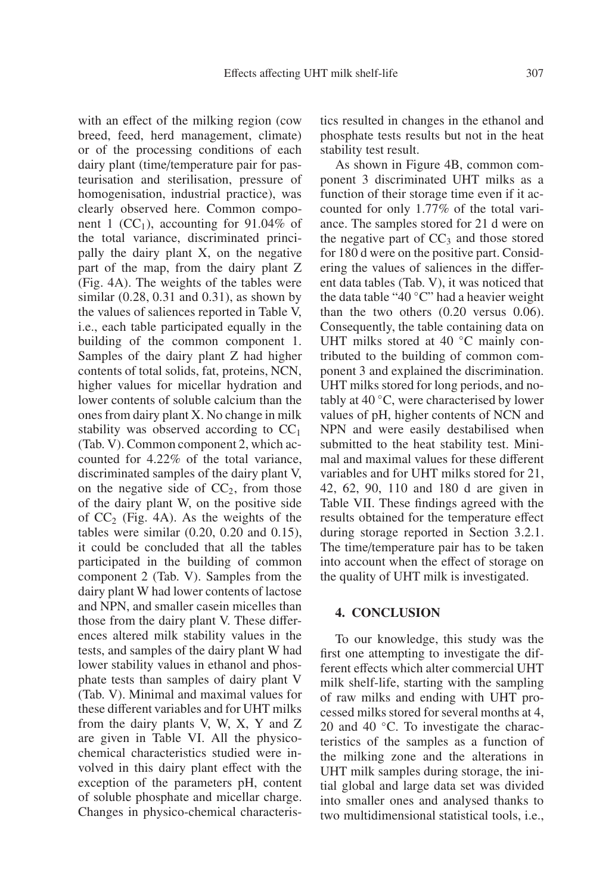with an effect of the milking region (cow breed, feed, herd management, climate) or of the processing conditions of each dairy plant (time/temperature pair for pasteurisation and sterilisation, pressure of homogenisation, industrial practice), was clearly observed here. Common component 1 (CC<sub>1</sub>), accounting for 91.04% of the total variance, discriminated principally the dairy plant X, on the negative part of the map, from the dairy plant Z (Fig. 4A). The weights of the tables were similar (0.28, 0.31 and 0.31), as shown by the values of saliences reported in Table V, i.e., each table participated equally in the building of the common component 1. Samples of the dairy plant Z had higher contents of total solids, fat, proteins, NCN, higher values for micellar hydration and lower contents of soluble calcium than the ones from dairy plant X. No change in milk stability was observed according to  $CC<sub>1</sub>$ (Tab. V). Common component 2, which accounted for 4.22% of the total variance, discriminated samples of the dairy plant V, on the negative side of  $CC<sub>2</sub>$ , from those of the dairy plant W, on the positive side of  $CC_2$  (Fig. 4A). As the weights of the tables were similar  $(0.20, 0.20, 0.15)$ , it could be concluded that all the tables participated in the building of common component 2 (Tab. V). Samples from the dairy plant W had lower contents of lactose and NPN, and smaller casein micelles than those from the dairy plant V. These differences altered milk stability values in the tests, and samples of the dairy plant W had lower stability values in ethanol and phosphate tests than samples of dairy plant V (Tab. V). Minimal and maximal values for these different variables and for UHT milks from the dairy plants V, W, X, Y and Z are given in Table VI. All the physicochemical characteristics studied were involved in this dairy plant effect with the exception of the parameters pH, content of soluble phosphate and micellar charge. Changes in physico-chemical characteristics resulted in changes in the ethanol and phosphate tests results but not in the heat stability test result.

As shown in Figure 4B, common component 3 discriminated UHT milks as a function of their storage time even if it accounted for only 1.77% of the total variance. The samples stored for 21 d were on the negative part of  $CC<sub>3</sub>$  and those stored for 180 d were on the positive part. Considering the values of saliences in the different data tables (Tab. V), it was noticed that the data table "40 ◦C" had a heavier weight than the two others (0.20 versus 0.06). Consequently, the table containing data on UHT milks stored at 40 ◦C mainly contributed to the building of common component 3 and explained the discrimination. UHT milks stored for long periods, and notably at 40 ◦C, were characterised by lower values of pH, higher contents of NCN and NPN and were easily destabilised when submitted to the heat stability test. Minimal and maximal values for these different variables and for UHT milks stored for 21, 42, 62, 90, 110 and 180 d are given in Table VII. These findings agreed with the results obtained for the temperature effect during storage reported in Section 3.2.1. The time/temperature pair has to be taken into account when the effect of storage on the quality of UHT milk is investigated.

## **4. CONCLUSION**

To our knowledge, this study was the first one attempting to investigate the different effects which alter commercial UHT milk shelf-life, starting with the sampling of raw milks and ending with UHT processed milks stored for several months at 4, 20 and 40 ◦C. To investigate the characteristics of the samples as a function of the milking zone and the alterations in UHT milk samples during storage, the initial global and large data set was divided into smaller ones and analysed thanks to two multidimensional statistical tools, i.e.,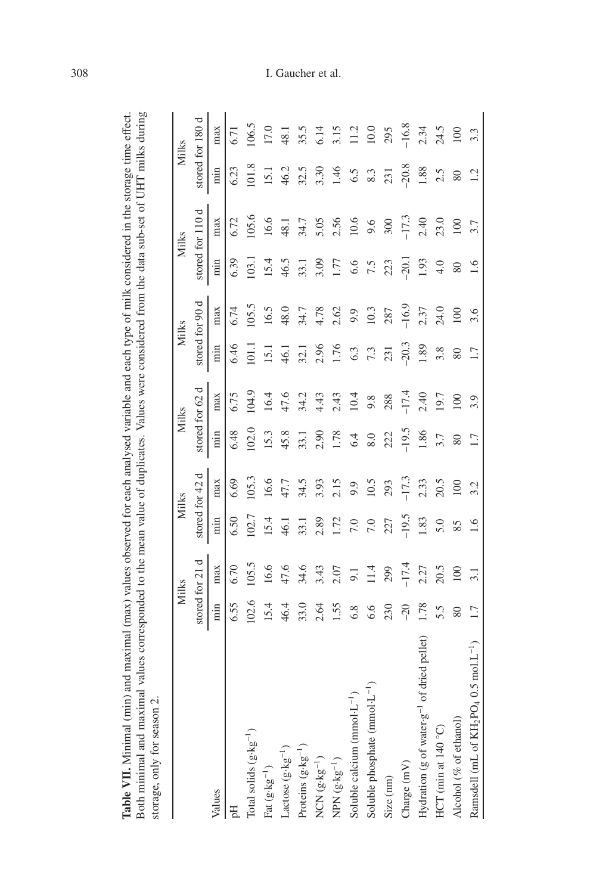| ;<br>)<br>a attant<br>į                  | י היירו<br>J<br>$\overline{a}$ |                        |
|------------------------------------------|--------------------------------|------------------------|
|                                          | ì<br>j.<br> <br> <br> <br>     |                        |
| d in the storage tim                     |                                |                        |
|                                          | he data cub-cet                |                        |
| ていいへい                                    |                                |                        |
| $\overline{\phantom{0}}$                 |                                |                        |
|                                          | i                              |                        |
| 1 doe om aldement                        |                                |                        |
|                                          | ה היו המ<br>֧֞                 |                        |
|                                          | $5 - 1$                        |                        |
| , vuon auta<br>heattront The and not     |                                |                        |
|                                          | lley mean nal                  |                        |
| $\sim$                                   | -<br>}<br>į                    |                        |
| in and a service                         |                                |                        |
|                                          |                                |                        |
|                                          | al m                           | Į                      |
|                                          | Care and                       | <b>HAT TO COOLD IN</b> |
| ------<br>$\frac{1}{2}$ MH $\frac{1}{2}$ | h mummal and m                 |                        |
|                                          |                                | くさく                    |

|                                                                   |                       | Milks                              |              | Milks                               |                              | Milks                                   |                      | Milks                                                                 |                                   | Milks                               |                                     | Milks                                |
|-------------------------------------------------------------------|-----------------------|------------------------------------|--------------|-------------------------------------|------------------------------|-----------------------------------------|----------------------|-----------------------------------------------------------------------|-----------------------------------|-------------------------------------|-------------------------------------|--------------------------------------|
|                                                                   |                       | stored for 21 d                    |              | stored for 42 d                     |                              | stored for 62 d                         |                      | stored for 90 d                                                       |                                   | stored for 110 d                    |                                     | stored for 180 d                     |
| Values                                                            | min                   | max                                | min          | max                                 | min                          | max                                     | min                  | max                                                                   | min                               | max                                 | $\lim$                              | max                                  |
|                                                                   | 6.55                  | 6.70                               | 6.50         | 6.69                                | 6.48                         | 6.75                                    | 6.46                 | 6.74                                                                  | 6.39                              | 6.72                                | 6.23                                | 6.71                                 |
| Total solids $(g \cdot kg^{-1})$                                  | 102.6                 | 105.5                              | 102.7        | 105.3                               | 102.0                        | 104.9                                   | 101.1                | 105.5                                                                 | 103.1                             | 105.6                               | $101.8$                             | 106.5                                |
| Fat $(g \cdot kg^{-1})$                                           | 15.4                  | 16.6                               | 15.4         | 16.6                                | 15.3                         | 16.4                                    | 15.1                 | 16.5                                                                  | 15.4                              | 16.6                                | 15.1                                | 17.0                                 |
| Lactose $(g \cdot kg^{-1})$                                       | 46.4                  | 47.6                               | 46.1         | 47.7                                | 45.8                         | 47.6                                    | 46.1                 | 48.0                                                                  | 46.5                              | 48.1                                | 46.2                                | 48.1                                 |
| Proteins $(g \cdot kg^{-1})$                                      | 33.0                  | 34.6                               | 33.1         |                                     | 33.1                         |                                         | 32.1                 |                                                                       | 33.1                              |                                     | 32.5                                |                                      |
| NCN $(g \cdot kg^{-1})$                                           |                       |                                    | 2.89         |                                     |                              |                                         | 2.96                 |                                                                       |                                   |                                     |                                     |                                      |
| $\text{NPN}\,(\text{g}\!\cdot\!\text{kg}^{-1})$                   | $2.64$<br>1.55<br>6.8 | 3.43<br>2.07<br>9.1<br>11.4<br>299 | $1.72$ $7.0$ | 34.5<br>3.93<br>2.15<br>9.9<br>10.5 | $2.90$<br>1.78<br>6.4<br>8.0 | 34.3<br>4.43<br>5.43<br>5.8<br>9.8<br>2 |                      | 34.7<br>4.78<br>2.62<br>9.9<br>10.3<br>2.87<br>1.6.9<br>1.4.0<br>1.00 | 3.09<br>1.77<br>6.6<br>7.5<br>223 | 34.7<br>5.05<br>5.56<br>10.6<br>9.0 | $3.30$<br>1.46<br>6.5<br>8.3<br>231 | 35.5<br>6.14<br>5.15<br>11.2<br>10.0 |
| Soluble calcium (mmol·L <sup>-1</sup> )                           |                       |                                    |              |                                     |                              |                                         |                      |                                                                       |                                   |                                     |                                     |                                      |
| Soluble phosphate (mmol·L <sup>-1</sup> )                         | 6.6                   |                                    | $7.0$        |                                     |                              |                                         | $1.76$<br>6.3<br>7.3 |                                                                       |                                   |                                     |                                     |                                      |
| Size (nm)                                                         | 230                   |                                    | 227          |                                     | 222                          |                                         | 231                  |                                                                       |                                   |                                     |                                     | 295                                  |
| Charge (mV)                                                       | $-20$                 | $-17.4$<br>2.27                    | $-19.5$      | $-17.3$                             | $-19.5$                      |                                         | $-20.3$              |                                                                       | $-20.1$                           | $-17.3$<br>2.40<br>23.0             | $-20.8$                             | $-16.8$                              |
| of dried pellet)<br>Hydration (g of water $\cdot$ g <sup>-1</sup> | 1.78                  |                                    | 1.83         | $2.33$<br>$20.5$                    | 1.86                         | $-17.4$<br>2.40<br>19.7                 | 1.89                 |                                                                       | 1.93                              |                                     | 1.88                                | 2.34<br>24.5<br>100                  |
| HCT (min at $140°$ C)                                             | 5.5                   | 20.5                               | 5.0          |                                     | 3.7                          |                                         | 3.8                  |                                                                       | 4.0                               |                                     | 2.5                                 |                                      |
| Alcohol (% of ethanol)                                            | 80                    | 100                                | 85           | $100\,$                             | 80                           | 100                                     | $80\,$               |                                                                       | 80                                |                                     | $\rm 80$                            |                                      |
| $0.5 \text{ mol.L}^{-1}$<br>Ramsdell (mL of KH2PO <sub>4</sub>    | 1.7                   | 3.1                                | 1.6          | 3.2                                 | $1.7\,$                      | 3.9                                     | 1.7                  | 3.6                                                                   | $1.6\,$                           | 3.7                                 | 1.2                                 | 3.3                                  |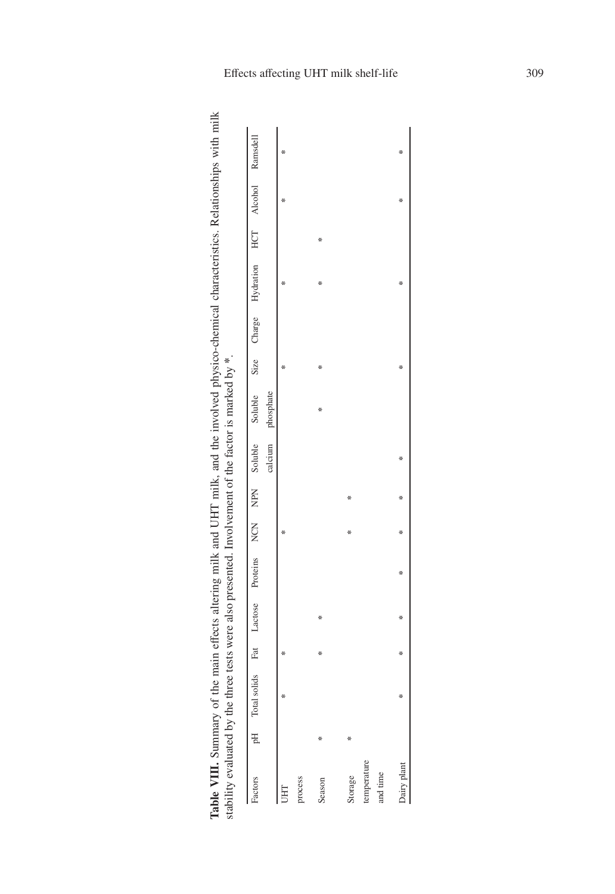| Ę<br>í<br>ł<br>しんしょう こうしょう こうしゃ                                                                                                                             |                                                                                                    |
|-------------------------------------------------------------------------------------------------------------------------------------------------------------|----------------------------------------------------------------------------------------------------|
| l<br>$\frac{1}{2}$<br>医生物 医生物 医血管<br>į<br>Į<br>֧֪֚֝֝֝֝֝֝֝֝<br>֪֪֪֚֚֚֚֚֚֚֚֝֝֝֝֝֝֝֝֝֝֝֟<br>֘֒<br>j<br>Į<br>ha monn at<br>3<br>ţ<br>į<br>;<br>j<br>į<br>I<br>i | ١<br>I<br>י<br>י<br>i<br><b>1</b><br>l<br>å<br>i<br>j<br>I<br>ś<br>j<br>į<br>$-2$<br>$\frac{1}{2}$ |
| Ē.                                                                                                                                                          | i<br>Santa dia<br>ì                                                                                |

| <b>Hactors</b> |   |   |   |    |   |   |   |    | tal solids Fat Lactose Proteins NCN NPN Soluble Soluble Size Charge Hydration HCT Alcohol Ramsdell |   |   |   |   |   |
|----------------|---|---|---|----|---|---|---|----|----------------------------------------------------------------------------------------------------|---|---|---|---|---|
|                |   |   |   |    |   |   |   |    | calcium phosphate                                                                                  |   |   |   |   |   |
| UHT            |   | ₩ | ₩ |    |   | ₩ |   |    |                                                                                                    | ₩ | ₩ |   | ₩ | ₩ |
| process        |   |   |   |    |   |   |   |    |                                                                                                    |   |   |   |   |   |
| Season         | × |   | 쏚 | ÷  |   |   |   |    | ÷                                                                                                  | 꼯 | 쏚 | 쏚 |   |   |
|                |   |   |   |    |   |   |   |    |                                                                                                    |   |   |   |   |   |
| Storage        | ₩ |   |   |    |   | ₩ | ₩ |    |                                                                                                    |   |   |   |   |   |
| temperature    |   |   |   |    |   |   |   |    |                                                                                                    |   |   |   |   |   |
| and time       |   |   |   |    |   |   |   |    |                                                                                                    |   |   |   |   |   |
| Dairy plant    |   | ¥ | ÷ | ÷. | 兴 | × | 长 | ÷. |                                                                                                    |   | ¥ |   | x | ÷ |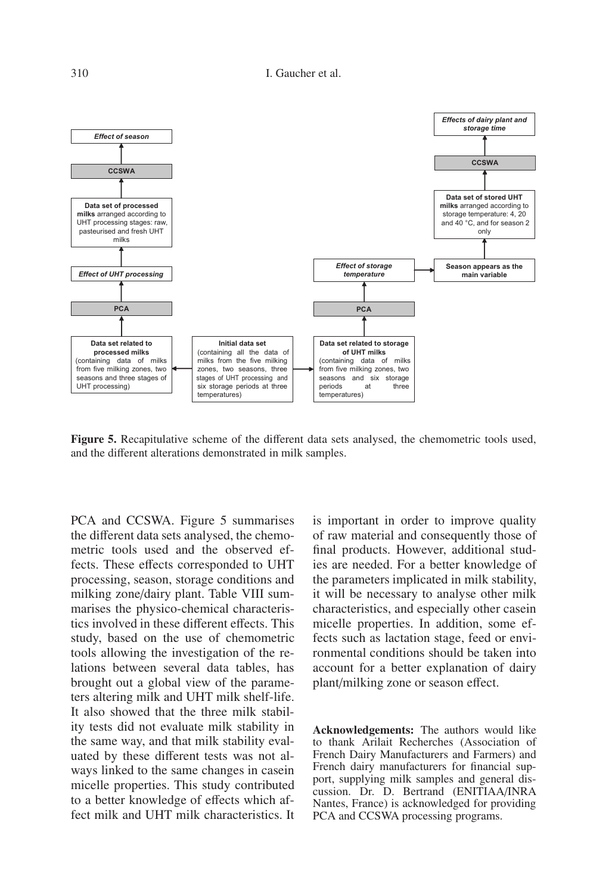

**Figure 5.** Recapitulative scheme of the different data sets analysed, the chemometric tools used, and the different alterations demonstrated in milk samples.

PCA and CCSWA. Figure 5 summarises the different data sets analysed, the chemometric tools used and the observed effects. These effects corresponded to UHT processing, season, storage conditions and milking zone/dairy plant. Table VIII summarises the physico-chemical characteristics involved in these different effects. This study, based on the use of chemometric tools allowing the investigation of the relations between several data tables, has brought out a global view of the parameters altering milk and UHT milk shelf-life. It also showed that the three milk stability tests did not evaluate milk stability in the same way, and that milk stability evaluated by these different tests was not always linked to the same changes in casein micelle properties. This study contributed to a better knowledge of effects which affect milk and UHT milk characteristics. It

is important in order to improve quality of raw material and consequently those of final products. However, additional studies are needed. For a better knowledge of the parameters implicated in milk stability, it will be necessary to analyse other milk characteristics, and especially other casein micelle properties. In addition, some effects such as lactation stage, feed or environmental conditions should be taken into account for a better explanation of dairy plant/milking zone or season effect.

**Acknowledgements:** The authors would like to thank Arilait Recherches (Association of French Dairy Manufacturers and Farmers) and French dairy manufacturers for financial support, supplying milk samples and general discussion. Dr. D. Bertrand (ENITIAA/INRA Nantes, France) is acknowledged for providing PCA and CCSWA processing programs.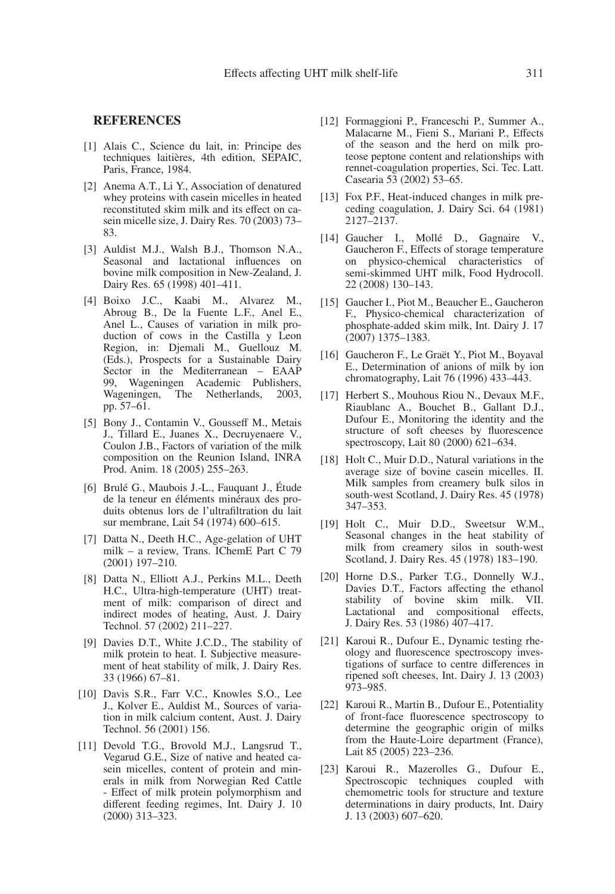#### **REFERENCES**

- [1] Alais C., Science du lait, in: Principe des techniques laitières, 4th edition, SEPAIC, Paris, France, 1984.
- [2] Anema A.T., Li Y., Association of denatured whey proteins with casein micelles in heated reconstituted skim milk and its effect on casein micelle size, J. Dairy Res. 70 (2003) 73– 83.
- [3] Auldist M.J., Walsh B.J., Thomson N.A., Seasonal and lactational influences on bovine milk composition in New-Zealand, J. Dairy Res. 65 (1998) 401–411.
- [4] Boixo J.C., Kaabi M., Alvarez M., Abroug B., De la Fuente L.F., Anel E., Anel L., Causes of variation in milk production of cows in the Castilla y Leon Region, in: Djemali M., Guellouz M. (Eds.), Prospects for a Sustainable Dairy Sector in the Mediterranean – EAAP 99, Wageningen Academic Publishers,<br>Wageningen, The Netherlands, 2003, The Netherlands, pp. 57–61.
- [5] Bony J., Contamin V., Gousseff M., Metais J., Tillard E., Juanes X., Decruyenaere V., Coulon J.B., Factors of variation of the milk composition on the Reunion Island, INRA Prod. Anim. 18 (2005) 255–263.
- [6] Brulé G., Maubois J.-L., Fauquant J., Étude de la teneur en éléments minéraux des produits obtenus lors de l'ultrafiltration du lait sur membrane, Lait 54 (1974) 600–615.
- [7] Datta N., Deeth H.C., Age-gelation of UHT milk – a review, Trans. IChemE Part C 79 (2001) 197–210.
- [8] Datta N., Elliott A.J., Perkins M.L., Deeth H.C., Ultra-high-temperature (UHT) treatment of milk: comparison of direct and indirect modes of heating, Aust. J. Dairy Technol. 57 (2002) 211–227.
- [9] Davies D.T., White J.C.D., The stability of milk protein to heat. I. Subjective measurement of heat stability of milk, J. Dairy Res. 33 (1966) 67–81.
- [10] Davis S.R., Farr V.C., Knowles S.O., Lee J., Kolver E., Auldist M., Sources of variation in milk calcium content, Aust. J. Dairy Technol. 56 (2001) 156.
- [11] Devold T.G., Brovold M.J., Langsrud T., Vegarud G.E., Size of native and heated casein micelles, content of protein and minerals in milk from Norwegian Red Cattle - Effect of milk protein polymorphism and different feeding regimes, Int. Dairy J. 10 (2000) 313–323.
- [12] Formaggioni P., Franceschi P., Summer A., Malacarne M., Fieni S., Mariani P., Effects of the season and the herd on milk proteose peptone content and relationships with rennet-coagulation properties, Sci. Tec. Latt. Casearia 53 (2002) 53–65.
- [13] Fox P.F., Heat-induced changes in milk preceding coagulation, J. Dairy Sci. 64 (1981) 2127–2137.
- [14] Gaucher I., Mollé D., Gagnaire V., Gaucheron F., Effects of storage temperature on physico-chemical characteristics of semi-skimmed UHT milk, Food Hydrocoll. 22 (2008) 130–143.
- [15] Gaucher I., Piot M., Beaucher E., Gaucheron F., Physico-chemical characterization of phosphate-added skim milk, Int. Dairy J. 17 (2007) 1375–1383.
- [16] Gaucheron F., Le Graët Y., Piot M., Boyaval E., Determination of anions of milk by ion chromatography, Lait 76 (1996) 433–443.
- [17] Herbert S., Mouhous Riou N., Devaux M.F., Riaublanc A., Bouchet B., Gallant D.J., Dufour E., Monitoring the identity and the structure of soft cheeses by fluorescence spectroscopy, Lait 80 (2000) 621–634.
- [18] Holt C., Muir D.D., Natural variations in the average size of bovine casein micelles. II. Milk samples from creamery bulk silos in south-west Scotland, J. Dairy Res. 45 (1978) 347–353.
- [19] Holt C., Muir D.D., Sweetsur W.M., Seasonal changes in the heat stability of milk from creamery silos in south-west Scotland, J. Dairy Res. 45 (1978) 183–190.
- [20] Horne D.S., Parker T.G., Donnelly W.J., Davies D.T., Factors affecting the ethanol stability of bovine skim milk. VII. Lactational and compositional effects, J. Dairy Res. 53 (1986) 407–417.
- [21] Karoui R., Dufour E., Dynamic testing rheology and fluorescence spectroscopy investigations of surface to centre differences in ripened soft cheeses, Int. Dairy J. 13 (2003) 973–985.
- [22] Karoui R., Martin B., Dufour E., Potentiality of front-face fluorescence spectroscopy to determine the geographic origin of milks from the Haute-Loire department (France), Lait 85 (2005) 223–236.
- [23] Karoui R., Mazerolles G., Dufour E., Spectroscopic techniques coupled with chemometric tools for structure and texture determinations in dairy products, Int. Dairy J. 13 (2003) 607–620.